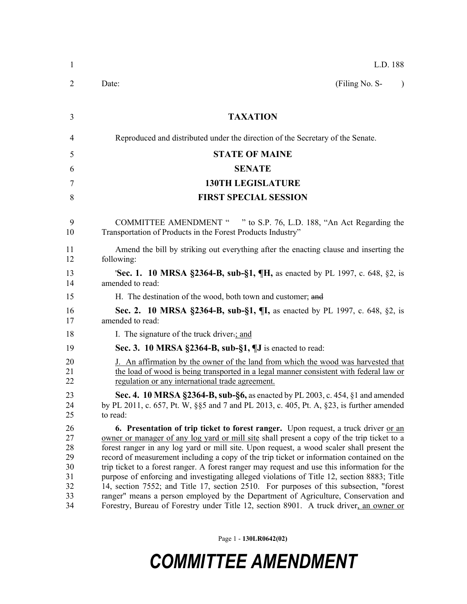| $\mathbf{1}$                                       | L.D. 188                                                                                                                                                                                                                                                                                                                                                                                                                                                                                                                                                                                                                                                                                                                                                                                                                                                           |  |  |  |
|----------------------------------------------------|--------------------------------------------------------------------------------------------------------------------------------------------------------------------------------------------------------------------------------------------------------------------------------------------------------------------------------------------------------------------------------------------------------------------------------------------------------------------------------------------------------------------------------------------------------------------------------------------------------------------------------------------------------------------------------------------------------------------------------------------------------------------------------------------------------------------------------------------------------------------|--|--|--|
| 2                                                  | Date:<br>(Filing No. S-<br>$\lambda$                                                                                                                                                                                                                                                                                                                                                                                                                                                                                                                                                                                                                                                                                                                                                                                                                               |  |  |  |
| 3                                                  | <b>TAXATION</b>                                                                                                                                                                                                                                                                                                                                                                                                                                                                                                                                                                                                                                                                                                                                                                                                                                                    |  |  |  |
| 4                                                  | Reproduced and distributed under the direction of the Secretary of the Senate.                                                                                                                                                                                                                                                                                                                                                                                                                                                                                                                                                                                                                                                                                                                                                                                     |  |  |  |
| 5                                                  | <b>STATE OF MAINE</b>                                                                                                                                                                                                                                                                                                                                                                                                                                                                                                                                                                                                                                                                                                                                                                                                                                              |  |  |  |
| 6                                                  | <b>SENATE</b>                                                                                                                                                                                                                                                                                                                                                                                                                                                                                                                                                                                                                                                                                                                                                                                                                                                      |  |  |  |
| 7                                                  | <b>130TH LEGISLATURE</b>                                                                                                                                                                                                                                                                                                                                                                                                                                                                                                                                                                                                                                                                                                                                                                                                                                           |  |  |  |
| 8                                                  | <b>FIRST SPECIAL SESSION</b>                                                                                                                                                                                                                                                                                                                                                                                                                                                                                                                                                                                                                                                                                                                                                                                                                                       |  |  |  |
| 9<br>10                                            | COMMITTEE AMENDMENT " " to S.P. 76, L.D. 188, "An Act Regarding the<br>Transportation of Products in the Forest Products Industry"                                                                                                                                                                                                                                                                                                                                                                                                                                                                                                                                                                                                                                                                                                                                 |  |  |  |
| 11<br>12                                           | Amend the bill by striking out everything after the enacting clause and inserting the<br>following:                                                                                                                                                                                                                                                                                                                                                                                                                                                                                                                                                                                                                                                                                                                                                                |  |  |  |
| 13<br>14                                           | 'Sec. 1. 10 MRSA §2364-B, sub-§1, ¶H, as enacted by PL 1997, c. 648, §2, is<br>amended to read:                                                                                                                                                                                                                                                                                                                                                                                                                                                                                                                                                                                                                                                                                                                                                                    |  |  |  |
| 15                                                 | H. The destination of the wood, both town and customer; and                                                                                                                                                                                                                                                                                                                                                                                                                                                                                                                                                                                                                                                                                                                                                                                                        |  |  |  |
| 16<br>17                                           | <b>Sec. 2. 10 MRSA §2364-B, sub-§1, ¶I,</b> as enacted by PL 1997, c. 648, §2, is<br>amended to read:                                                                                                                                                                                                                                                                                                                                                                                                                                                                                                                                                                                                                                                                                                                                                              |  |  |  |
| 18                                                 | I. The signature of the truck driver-; and                                                                                                                                                                                                                                                                                                                                                                                                                                                                                                                                                                                                                                                                                                                                                                                                                         |  |  |  |
| 19                                                 | Sec. 3. 10 MRSA $\S$ 2364-B, sub- $\S$ 1, $\P$ J is enacted to read:                                                                                                                                                                                                                                                                                                                                                                                                                                                                                                                                                                                                                                                                                                                                                                                               |  |  |  |
| 20<br>21<br>22                                     | J. An affirmation by the owner of the land from which the wood was harvested that<br>the load of wood is being transported in a legal manner consistent with federal law or<br>regulation or any international trade agreement.                                                                                                                                                                                                                                                                                                                                                                                                                                                                                                                                                                                                                                    |  |  |  |
| 23<br>24<br>25                                     | Sec. 4. 10 MRSA §2364-B, sub-§6, as enacted by PL 2003, c. 454, §1 and amended<br>by PL 2011, c. 657, Pt. W, §§5 and 7 and PL 2013, c. 405, Pt. A, §23, is further amended<br>to read:                                                                                                                                                                                                                                                                                                                                                                                                                                                                                                                                                                                                                                                                             |  |  |  |
| 26<br>27<br>28<br>29<br>30<br>31<br>32<br>33<br>34 | <b>6. Presentation of trip ticket to forest ranger.</b> Upon request, a truck driver <u>or an</u><br>owner or manager of any log yard or mill site shall present a copy of the trip ticket to a<br>forest ranger in any log yard or mill site. Upon request, a wood scaler shall present the<br>record of measurement including a copy of the trip ticket or information contained on the<br>trip ticket to a forest ranger. A forest ranger may request and use this information for the<br>purpose of enforcing and investigating alleged violations of Title 12, section 8883; Title<br>14, section 7552; and Title 17, section 2510. For purposes of this subsection, "forest"<br>ranger" means a person employed by the Department of Agriculture, Conservation and<br>Forestry, Bureau of Forestry under Title 12, section 8901. A truck driver, an owner or |  |  |  |

Page 1 - **130LR0642(02)**

## *COMMITTEE AMENDMENT*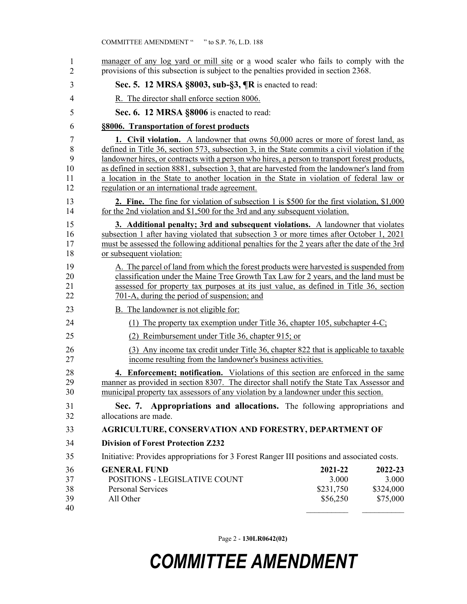| 1<br>$\overline{c}$           | manager of any log yard or mill site or a wood scaler who fails to comply with the<br>provisions of this subsection is subject to the penalties provided in section 2368.                                                                                                                                                                                                                                                                                                                                                        |                                           |                                           |  |
|-------------------------------|----------------------------------------------------------------------------------------------------------------------------------------------------------------------------------------------------------------------------------------------------------------------------------------------------------------------------------------------------------------------------------------------------------------------------------------------------------------------------------------------------------------------------------|-------------------------------------------|-------------------------------------------|--|
| 3                             | Sec. 5. 12 MRSA §8003, sub-§3, ¶R is enacted to read:                                                                                                                                                                                                                                                                                                                                                                                                                                                                            |                                           |                                           |  |
| 4                             | R. The director shall enforce section 8006.                                                                                                                                                                                                                                                                                                                                                                                                                                                                                      |                                           |                                           |  |
| 5                             | Sec. 6. 12 MRSA §8006 is enacted to read:                                                                                                                                                                                                                                                                                                                                                                                                                                                                                        |                                           |                                           |  |
| 6                             | §8006. Transportation of forest products                                                                                                                                                                                                                                                                                                                                                                                                                                                                                         |                                           |                                           |  |
| 7<br>8<br>9<br>10<br>11<br>12 | 1. Civil violation. A landowner that owns 50,000 acres or more of forest land, as<br>defined in Title 36, section 573, subsection 3, in the State commits a civil violation if the<br>landowner hires, or contracts with a person who hires, a person to transport forest products,<br>as defined in section 8881, subsection 3, that are harvested from the landowner's land from<br>a location in the State to another location in the State in violation of federal law or<br>regulation or an international trade agreement. |                                           |                                           |  |
| 13<br>14                      | <b>2. Fine.</b> The fine for violation of subsection 1 is \$500 for the first violation, \$1,000<br>for the 2nd violation and \$1,500 for the 3rd and any subsequent violation.                                                                                                                                                                                                                                                                                                                                                  |                                           |                                           |  |
| 15<br>16<br>17<br>18          | 3. Additional penalty; 3rd and subsequent violations. A landowner that violates<br>subsection 1 after having violated that subsection 3 or more times after October 1, 2021<br>must be assessed the following additional penalties for the 2 years after the date of the 3rd<br>or subsequent violation:                                                                                                                                                                                                                         |                                           |                                           |  |
| 19<br>20<br>21<br>22          | A. The parcel of land from which the forest products were harvested is suspended from<br>classification under the Maine Tree Growth Tax Law for 2 years, and the land must be<br>assessed for property tax purposes at its just value, as defined in Title 36, section<br>701-A, during the period of suspension; and                                                                                                                                                                                                            |                                           |                                           |  |
| 23                            | B. The landowner is not eligible for:                                                                                                                                                                                                                                                                                                                                                                                                                                                                                            |                                           |                                           |  |
| 24                            | (1) The property tax exemption under Title 36, chapter 105, subchapter 4-C;                                                                                                                                                                                                                                                                                                                                                                                                                                                      |                                           |                                           |  |
| 25                            | (2) Reimbursement under Title 36, chapter 915; or                                                                                                                                                                                                                                                                                                                                                                                                                                                                                |                                           |                                           |  |
| 26<br>27                      | (3) Any income tax credit under Title 36, chapter 822 that is applicable to taxable<br>income resulting from the landowner's business activities.                                                                                                                                                                                                                                                                                                                                                                                |                                           |                                           |  |
| 28<br>29<br>30                | 4. Enforcement; notification. Violations of this section are enforced in the same<br>manner as provided in section 8307. The director shall notify the State Tax Assessor and<br>municipal property tax assessors of any violation by a landowner under this section.                                                                                                                                                                                                                                                            |                                           |                                           |  |
| 31<br>32                      | Sec. 7. Appropriations and allocations. The following appropriations and<br>allocations are made.                                                                                                                                                                                                                                                                                                                                                                                                                                |                                           |                                           |  |
| 33                            | <b>AGRICULTURE, CONSERVATION AND FORESTRY, DEPARTMENT OF</b>                                                                                                                                                                                                                                                                                                                                                                                                                                                                     |                                           |                                           |  |
| 34                            | <b>Division of Forest Protection Z232</b>                                                                                                                                                                                                                                                                                                                                                                                                                                                                                        |                                           |                                           |  |
| 35                            | Initiative: Provides appropriations for 3 Forest Ranger III positions and associated costs.                                                                                                                                                                                                                                                                                                                                                                                                                                      |                                           |                                           |  |
| 36<br>37<br>38<br>39<br>40    | <b>GENERAL FUND</b><br>POSITIONS - LEGISLATIVE COUNT<br><b>Personal Services</b><br>All Other                                                                                                                                                                                                                                                                                                                                                                                                                                    | 2021-22<br>3.000<br>\$231,750<br>\$56,250 | 2022-23<br>3.000<br>\$324,000<br>\$75,000 |  |

Page 2 - **130LR0642(02)**

## *COMMITTEE AMENDMENT*